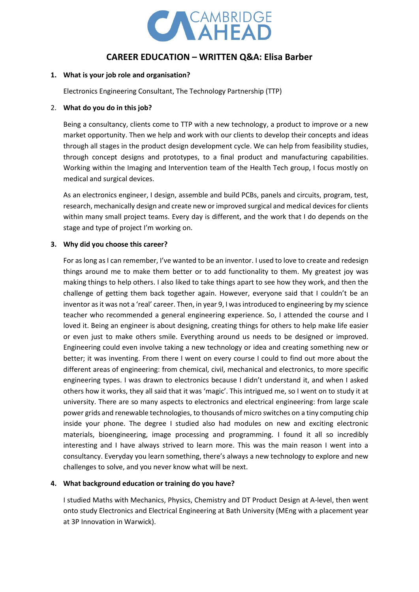

# **CAREER EDUCATION – WRITTEN Q&A: Elisa Barber**

## **1. What is your job role and organisation?**

Electronics Engineering Consultant, The Technology Partnership (TTP)

#### 2. **What do you do in this job?**

Being a consultancy, clients come to TTP with a new technology, a product to improve or a new market opportunity. Then we help and work with our clients to develop their concepts and ideas through all stages in the product design development cycle. We can help from feasibility studies, through concept designs and prototypes, to a final product and manufacturing capabilities. Working within the Imaging and Intervention team of the Health Tech group, I focus mostly on medical and surgical devices.

As an electronics engineer, I design, assemble and build PCBs, panels and circuits, program, test, research, mechanically design and create new or improved surgical and medical devices for clients within many small project teams. Every day is different, and the work that I do depends on the stage and type of project I'm working on.

## **3. Why did you choose this career?**

For as long as I can remember, I've wanted to be an inventor. I used to love to create and redesign things around me to make them better or to add functionality to them. My greatest joy was making things to help others. I also liked to take things apart to see how they work, and then the challenge of getting them back together again. However, everyone said that I couldn't be an inventor as it was not a 'real' career. Then, in year 9, I was introduced to engineering by my science teacher who recommended a general engineering experience. So, I attended the course and I loved it. Being an engineer is about designing, creating things for others to help make life easier or even just to make others smile. Everything around us needs to be designed or improved. Engineering could even involve taking a new technology or idea and creating something new or better; it was inventing. From there I went on every course I could to find out more about the different areas of engineering: from chemical, civil, mechanical and electronics, to more specific engineering types. I was drawn to electronics because I didn't understand it, and when I asked others how it works, they all said that it was 'magic'. This intrigued me, so I went on to study it at university. There are so many aspects to electronics and electrical engineering: from large scale power grids and renewable technologies, to thousands of micro switches on a tiny computing chip inside your phone. The degree I studied also had modules on new and exciting electronic materials, bioengineering, image processing and programming. I found it all so incredibly interesting and I have always strived to learn more. This was the main reason I went into a consultancy. Everyday you learn something, there's always a new technology to explore and new challenges to solve, and you never know what will be next.

## **4. What background education or training do you have?**

I studied Maths with Mechanics, Physics, Chemistry and DT Product Design at A-level, then went onto study Electronics and Electrical Engineering at Bath University (MEng with a placement year at 3P Innovation in Warwick).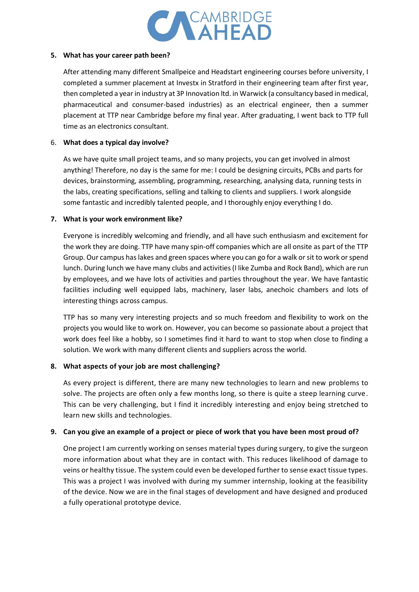

## **5. What has your career path been?**

After attending many different Smallpeice and Headstart engineering courses before university, I completed a summer placement at Investx in Stratford in their engineering team after first year, then completed a year in industry at 3P Innovation ltd. in Warwick (a consultancy based in medical, pharmaceutical and consumer-based industries) as an electrical engineer, then a summer placement at TTP near Cambridge before my final year. After graduating, I went back to TTP full time as an electronics consultant.

## 6. **What does a typical day involve?**

As we have quite small project teams, and so many projects, you can get involved in almost anything! Therefore, no day is the same for me: I could be designing circuits, PCBs and parts for devices, brainstorming, assembling, programming, researching, analysing data, running tests in the labs, creating specifications, selling and talking to clients and suppliers. I work alongside some fantastic and incredibly talented people, and I thoroughly enjoy everything I do.

# **7. What is your work environment like?**

Everyone is incredibly welcoming and friendly, and all have such enthusiasm and excitement for the work they are doing. TTP have many spin-off companies which are all onsite as part of the TTP Group. Our campus has lakes and green spaces where you can go for a walk or sit to work or spend lunch. During lunch we have many clubs and activities (I like Zumba and Rock Band), which are run by employees, and we have lots of activities and parties throughout the year. We have fantastic facilities including well equipped labs, machinery, laser labs, anechoic chambers and lots of interesting things across campus.

TTP has so many very interesting projects and so much freedom and flexibility to work on the projects you would like to work on. However, you can become so passionate about a project that work does feel like a hobby, so I sometimes find it hard to want to stop when close to finding a solution. We work with many different clients and suppliers across the world.

# **8. What aspects of your job are most challenging?**

As every project is different, there are many new technologies to learn and new problems to solve. The projects are often only a few months long, so there is quite a steep learning curve. This can be very challenging, but I find it incredibly interesting and enjoy being stretched to learn new skills and technologies.

# **9. Can you give an example of a project or piece of work that you have been most proud of?**

One project I am currently working on senses material types during surgery, to give the surgeon more information about what they are in contact with. This reduces likelihood of damage to veins or healthy tissue. The system could even be developed further to sense exact tissue types. This was a project I was involved with during my summer internship, looking at the feasibility of the device. Now we are in the final stages of development and have designed and produced a fully operational prototype device.